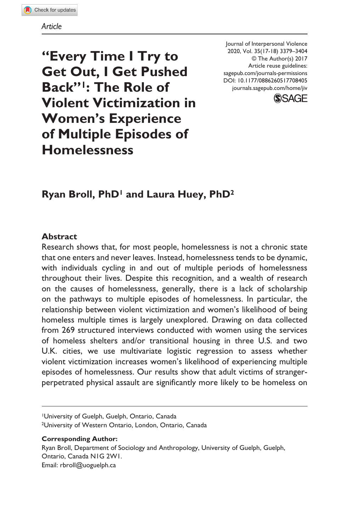#### *Article*

**"Every Time I Try to Get Out, I Get Pushed Back"1: The Role of Violent Victimization in Women's Experience of Multiple Episodes of Homelessness**

DOI: 10.1177/0886260517708405 Journal of Interpersonal Violence 2020, Vol. 35(17-18) 3379–3404 © The Author(s) 2017 Article reuse guidelines: sagepub.com/journals-permissions [journals.sagepub.com/home/jiv](https://journals.sagepub.com/home/jiv)



# **Ryan Broll, PhD1 and Laura Huey, PhD2**

#### **Abstract**

Research shows that, for most people, homelessness is not a chronic state that one enters and never leaves. Instead, homelessness tends to be dynamic, with individuals cycling in and out of multiple periods of homelessness throughout their lives. Despite this recognition, and a wealth of research on the causes of homelessness, generally, there is a lack of scholarship on the pathways to multiple episodes of homelessness. In particular, the relationship between violent victimization and women's likelihood of being homeless multiple times is largely unexplored. Drawing on data collected from 269 structured interviews conducted with women using the services of homeless shelters and/or transitional housing in three U.S. and two U.K. cities, we use multivariate logistic regression to assess whether violent victimization increases women's likelihood of experiencing multiple episodes of homelessness. Our results show that adult victims of strangerperpetrated physical assault are significantly more likely to be homeless on

1University of Guelph, Guelph, Ontario, Canada 2University of Western Ontario, London, Ontario, Canada

#### **Corresponding Author:**

Ryan Broll, Department of Sociology and Anthropology, University of Guelph, Guelph, Ontario, Canada N1G 2W1. Email: [rbroll@uoguelph.ca](mailto:rbroll@uoguelph.ca)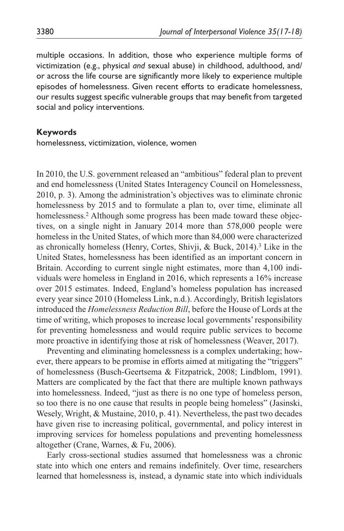multiple occasions. In addition, those who experience multiple forms of victimization (e.g., physical *and* sexual abuse) in childhood, adulthood, and/ or across the life course are significantly more likely to experience multiple episodes of homelessness. Given recent efforts to eradicate homelessness, our results suggest specific vulnerable groups that may benefit from targeted social and policy interventions.

#### **Keywords**

homelessness, victimization, violence, women

In 2010, the U.S. government released an "ambitious" federal plan to prevent and end homelessness (United States Interagency Council on Homelessness, 2010, p. 3). Among the administration's objectives was to eliminate chronic homelessness by 2015 and to formulate a plan to, over time, eliminate all homelessness.<sup>2</sup> Although some progress has been made toward these objectives, on a single night in January 2014 more than 578,000 people were homeless in the United States, of which more than 84,000 were characterized as chronically homeless (Henry, Cortes, Shivji, & Buck, 2014).<sup>3</sup> Like in the United States, homelessness has been identified as an important concern in Britain. According to current single night estimates, more than 4,100 individuals were homeless in England in 2016, which represents a 16% increase over 2015 estimates. Indeed, England's homeless population has increased every year since 2010 (Homeless Link, n.d.). Accordingly, British legislators introduced the *Homelessness Reduction Bill*, before the House of Lords at the time of writing, which proposes to increase local governments' responsibility for preventing homelessness and would require public services to become more proactive in identifying those at risk of homelessness (Weaver, 2017).

Preventing and eliminating homelessness is a complex undertaking; however, there appears to be promise in efforts aimed at mitigating the "triggers" of homelessness (Busch-Geertsema & Fitzpatrick, 2008; Lindblom, 1991). Matters are complicated by the fact that there are multiple known pathways into homelessness. Indeed, "just as there is no one type of homeless person, so too there is no one cause that results in people being homeless" (Jasinski, Wesely, Wright, & Mustaine, 2010, p. 41). Nevertheless, the past two decades have given rise to increasing political, governmental, and policy interest in improving services for homeless populations and preventing homelessness altogether (Crane, Warnes, & Fu, 2006).

Early cross-sectional studies assumed that homelessness was a chronic state into which one enters and remains indefinitely. Over time, researchers learned that homelessness is, instead, a dynamic state into which individuals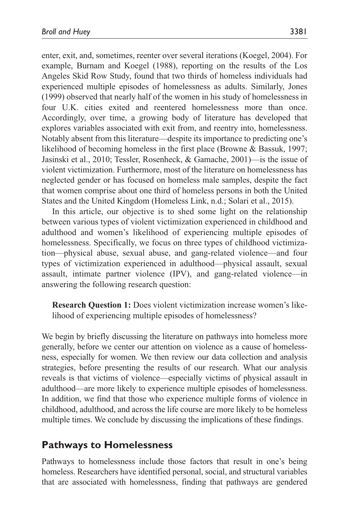enter, exit, and, sometimes, reenter over several iterations (Koegel, 2004). For example, Burnam and Koegel (1988), reporting on the results of the Los Angeles Skid Row Study, found that two thirds of homeless individuals had experienced multiple episodes of homelessness as adults. Similarly, Jones (1999) observed that nearly half of the women in his study of homelessness in four U.K. cities exited and reentered homelessness more than once. Accordingly, over time, a growing body of literature has developed that explores variables associated with exit from, and reentry into, homelessness. Notably absent from this literature—despite its importance to predicting one's likelihood of becoming homeless in the first place (Browne & Bassuk, 1997; Jasinski et al., 2010; Tessler, Rosenheck, & Gamache, 2001)—is the issue of violent victimization. Furthermore, most of the literature on homelessness has neglected gender or has focused on homeless male samples, despite the fact that women comprise about one third of homeless persons in both the United States and the United Kingdom (Homeless Link, n.d.; Solari et al., 2015).

In this article, our objective is to shed some light on the relationship between various types of violent victimization experienced in childhood and adulthood and women's likelihood of experiencing multiple episodes of homelessness. Specifically, we focus on three types of childhood victimization—physical abuse, sexual abuse, and gang-related violence—and four types of victimization experienced in adulthood—physical assault, sexual assault, intimate partner violence (IPV), and gang-related violence—in answering the following research question:

**Research Question 1:** Does violent victimization increase women's likelihood of experiencing multiple episodes of homelessness?

We begin by briefly discussing the literature on pathways into homeless more generally, before we center our attention on violence as a cause of homelessness, especially for women. We then review our data collection and analysis strategies, before presenting the results of our research. What our analysis reveals is that victims of violence—especially victims of physical assault in adulthood—are more likely to experience multiple episodes of homelessness. In addition, we find that those who experience multiple forms of violence in childhood, adulthood, and across the life course are more likely to be homeless multiple times. We conclude by discussing the implications of these findings.

### **Pathways to Homelessness**

Pathways to homelessness include those factors that result in one's being homeless. Researchers have identified personal, social, and structural variables that are associated with homelessness, finding that pathways are gendered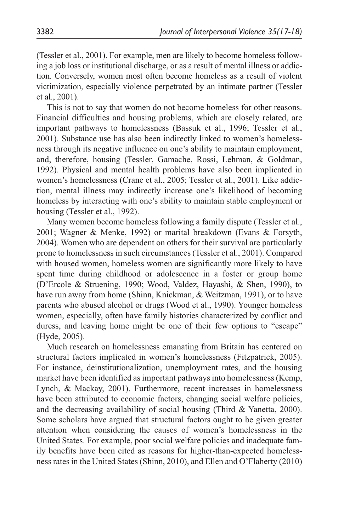(Tessler et al., 2001). For example, men are likely to become homeless following a job loss or institutional discharge, or as a result of mental illness or addiction. Conversely, women most often become homeless as a result of violent victimization, especially violence perpetrated by an intimate partner (Tessler et al., 2001).

This is not to say that women do not become homeless for other reasons. Financial difficulties and housing problems, which are closely related, are important pathways to homelessness (Bassuk et al., 1996; Tessler et al., 2001). Substance use has also been indirectly linked to women's homelessness through its negative influence on one's ability to maintain employment, and, therefore, housing (Tessler, Gamache, Rossi, Lehman, & Goldman, 1992). Physical and mental health problems have also been implicated in women's homelessness (Crane et al., 2005; Tessler et al., 2001). Like addiction, mental illness may indirectly increase one's likelihood of becoming homeless by interacting with one's ability to maintain stable employment or housing (Tessler et al., 1992).

Many women become homeless following a family dispute (Tessler et al., 2001; Wagner & Menke, 1992) or marital breakdown (Evans & Forsyth, 2004). Women who are dependent on others for their survival are particularly prone to homelessness in such circumstances (Tessler et al., 2001). Compared with housed women, homeless women are significantly more likely to have spent time during childhood or adolescence in a foster or group home (D'Ercole & Struening, 1990; Wood, Valdez, Hayashi, & Shen, 1990), to have run away from home (Shinn, Knickman, & Weitzman, 1991), or to have parents who abused alcohol or drugs (Wood et al., 1990). Younger homeless women, especially, often have family histories characterized by conflict and duress, and leaving home might be one of their few options to "escape" (Hyde, 2005).

Much research on homelessness emanating from Britain has centered on structural factors implicated in women's homelessness (Fitzpatrick, 2005). For instance, deinstitutionalization, unemployment rates, and the housing market have been identified as important pathways into homelessness (Kemp, Lynch, & Mackay, 2001). Furthermore, recent increases in homelessness have been attributed to economic factors, changing social welfare policies, and the decreasing availability of social housing (Third & Yanetta, 2000). Some scholars have argued that structural factors ought to be given greater attention when considering the causes of women's homelessness in the United States. For example, poor social welfare policies and inadequate family benefits have been cited as reasons for higher-than-expected homelessness rates in the United States (Shinn, 2010), and Ellen and O'Flaherty (2010)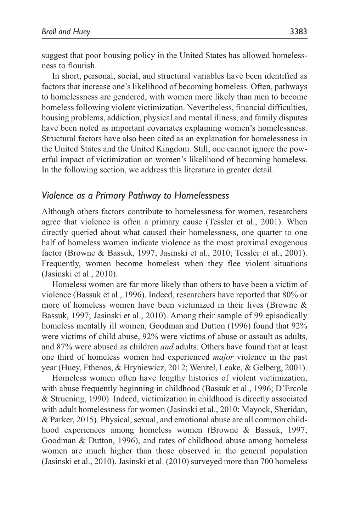suggest that poor housing policy in the United States has allowed homelessness to flourish.

In short, personal, social, and structural variables have been identified as factors that increase one's likelihood of becoming homeless. Often, pathways to homelessness are gendered, with women more likely than men to become homeless following violent victimization. Nevertheless, financial difficulties, housing problems, addiction, physical and mental illness, and family disputes have been noted as important covariates explaining women's homelessness. Structural factors have also been cited as an explanation for homelessness in the United States and the United Kingdom. Still, one cannot ignore the powerful impact of victimization on women's likelihood of becoming homeless. In the following section, we address this literature in greater detail.

#### *Violence as a Primary Pathway to Homelessness*

Although others factors contribute to homelessness for women, researchers agree that violence is often a primary cause (Tessler et al., 2001). When directly queried about what caused their homelessness, one quarter to one half of homeless women indicate violence as the most proximal exogenous factor (Browne & Bassuk, 1997; Jasinski et al., 2010; Tessler et al., 2001). Frequently, women become homeless when they flee violent situations (Jasinski et al., 2010).

Homeless women are far more likely than others to have been a victim of violence (Bassuk et al., 1996). Indeed, researchers have reported that 80% or more of homeless women have been victimized in their lives (Browne & Bassuk, 1997; Jasinski et al., 2010). Among their sample of 99 episodically homeless mentally ill women, Goodman and Dutton (1996) found that 92% were victims of child abuse, 92% were victims of abuse or assault as adults, and 87% were abused as children *and* adults. Others have found that at least one third of homeless women had experienced *major* violence in the past year (Huey, Fthenos, & Hryniewicz, 2012; Wenzel, Leake, & Gelberg, 2001).

Homeless women often have lengthy histories of violent victimization, with abuse frequently beginning in childhood (Bassuk et al., 1996; D'Ercole & Struening, 1990). Indeed, victimization in childhood is directly associated with adult homelessness for women (Jasinski et al., 2010; Mayock, Sheridan, & Parker, 2015). Physical, sexual, and emotional abuse are all common childhood experiences among homeless women (Browne & Bassuk, 1997; Goodman & Dutton, 1996), and rates of childhood abuse among homeless women are much higher than those observed in the general population (Jasinski et al., 2010). Jasinski et al. (2010) surveyed more than 700 homeless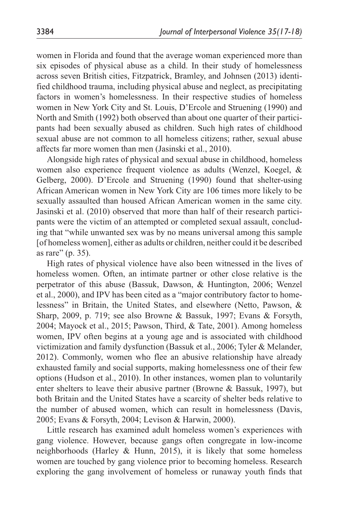women in Florida and found that the average woman experienced more than six episodes of physical abuse as a child. In their study of homelessness across seven British cities, Fitzpatrick, Bramley, and Johnsen (2013) identified childhood trauma, including physical abuse and neglect, as precipitating factors in women's homelessness. In their respective studies of homeless women in New York City and St. Louis, D'Ercole and Struening (1990) and North and Smith (1992) both observed than about one quarter of their participants had been sexually abused as children. Such high rates of childhood sexual abuse are not common to all homeless citizens; rather, sexual abuse affects far more women than men (Jasinski et al., 2010).

Alongside high rates of physical and sexual abuse in childhood, homeless women also experience frequent violence as adults (Wenzel, Koegel, & Gelberg, 2000). D'Ercole and Struening (1990) found that shelter-using African American women in New York City are 106 times more likely to be sexually assaulted than housed African American women in the same city. Jasinski et al. (2010) observed that more than half of their research participants were the victim of an attempted or completed sexual assault, concluding that "while unwanted sex was by no means universal among this sample [of homeless women], either as adults or children, neither could it be described as rare" (p. 35).

High rates of physical violence have also been witnessed in the lives of homeless women. Often, an intimate partner or other close relative is the perpetrator of this abuse (Bassuk, Dawson, & Huntington, 2006; Wenzel et al., 2000), and IPV has been cited as a "major contributory factor to homelessness" in Britain, the United States, and elsewhere (Netto, Pawson, & Sharp, 2009, p. 719; see also Browne & Bassuk, 1997; Evans & Forsyth, 2004; Mayock et al., 2015; Pawson, Third, & Tate, 2001). Among homeless women, IPV often begins at a young age and is associated with childhood victimization and family dysfunction (Bassuk et al., 2006; Tyler & Melander, 2012). Commonly, women who flee an abusive relationship have already exhausted family and social supports, making homelessness one of their few options (Hudson et al., 2010). In other instances, women plan to voluntarily enter shelters to leave their abusive partner (Browne & Bassuk, 1997), but both Britain and the United States have a scarcity of shelter beds relative to the number of abused women, which can result in homelessness (Davis, 2005; Evans & Forsyth, 2004; Levison & Harwin, 2000).

Little research has examined adult homeless women's experiences with gang violence. However, because gangs often congregate in low-income neighborhoods (Harley & Hunn, 2015), it is likely that some homeless women are touched by gang violence prior to becoming homeless. Research exploring the gang involvement of homeless or runaway youth finds that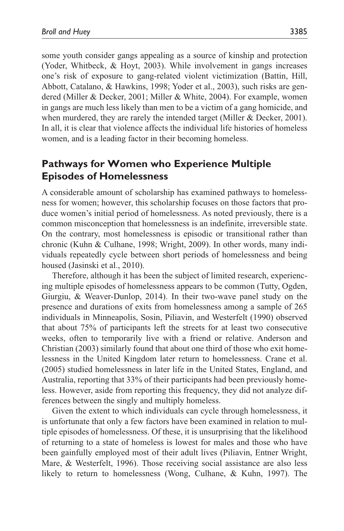some youth consider gangs appealing as a source of kinship and protection (Yoder, Whitbeck, & Hoyt, 2003). While involvement in gangs increases one's risk of exposure to gang-related violent victimization (Battin, Hill, Abbott, Catalano, & Hawkins, 1998; Yoder et al., 2003), such risks are gendered (Miller & Decker, 2001; Miller & White, 2004). For example, women in gangs are much less likely than men to be a victim of a gang homicide, and when murdered, they are rarely the intended target (Miller & Decker, 2001). In all, it is clear that violence affects the individual life histories of homeless women, and is a leading factor in their becoming homeless.

# **Pathways for Women who Experience Multiple Episodes of Homelessness**

A considerable amount of scholarship has examined pathways to homelessness for women; however, this scholarship focuses on those factors that produce women's initial period of homelessness. As noted previously, there is a common misconception that homelessness is an indefinite, irreversible state. On the contrary, most homelessness is episodic or transitional rather than chronic (Kuhn & Culhane, 1998; Wright, 2009). In other words, many individuals repeatedly cycle between short periods of homelessness and being housed (Jasinski et al., 2010).

Therefore, although it has been the subject of limited research, experiencing multiple episodes of homelessness appears to be common (Tutty, Ogden, Giurgiu, & Weaver-Dunlop, 2014). In their two-wave panel study on the presence and durations of exits from homelessness among a sample of 265 individuals in Minneapolis, Sosin, Piliavin, and Westerfelt (1990) observed that about 75% of participants left the streets for at least two consecutive weeks, often to temporarily live with a friend or relative. Anderson and Christian (2003) similarly found that about one third of those who exit homelessness in the United Kingdom later return to homelessness. Crane et al. (2005) studied homelessness in later life in the United States, England, and Australia, reporting that 33% of their participants had been previously homeless. However, aside from reporting this frequency, they did not analyze differences between the singly and multiply homeless.

Given the extent to which individuals can cycle through homelessness, it is unfortunate that only a few factors have been examined in relation to multiple episodes of homelessness. Of these, it is unsurprising that the likelihood of returning to a state of homeless is lowest for males and those who have been gainfully employed most of their adult lives (Piliavin, Entner Wright, Mare, & Westerfelt, 1996). Those receiving social assistance are also less likely to return to homelessness (Wong, Culhane, & Kuhn, 1997). The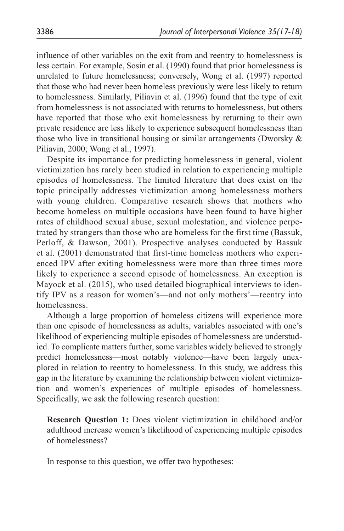influence of other variables on the exit from and reentry to homelessness is less certain. For example, Sosin et al. (1990) found that prior homelessness is unrelated to future homelessness; conversely, Wong et al. (1997) reported that those who had never been homeless previously were less likely to return to homelessness. Similarly, Piliavin et al. (1996) found that the type of exit from homelessness is not associated with returns to homelessness, but others have reported that those who exit homelessness by returning to their own private residence are less likely to experience subsequent homelessness than those who live in transitional housing or similar arrangements (Dworsky  $\&$ Piliavin, 2000; Wong et al., 1997).

Despite its importance for predicting homelessness in general, violent victimization has rarely been studied in relation to experiencing multiple episodes of homelessness. The limited literature that does exist on the topic principally addresses victimization among homelessness mothers with young children. Comparative research shows that mothers who become homeless on multiple occasions have been found to have higher rates of childhood sexual abuse, sexual molestation, and violence perpetrated by strangers than those who are homeless for the first time (Bassuk, Perloff, & Dawson, 2001). Prospective analyses conducted by Bassuk et al. (2001) demonstrated that first-time homeless mothers who experienced IPV after exiting homelessness were more than three times more likely to experience a second episode of homelessness. An exception is Mayock et al. (2015), who used detailed biographical interviews to identify IPV as a reason for women's—and not only mothers'—reentry into homelessness.

Although a large proportion of homeless citizens will experience more than one episode of homelessness as adults, variables associated with one's likelihood of experiencing multiple episodes of homelessness are understudied. To complicate matters further, some variables widely believed to strongly predict homelessness—most notably violence—have been largely unexplored in relation to reentry to homelessness. In this study, we address this gap in the literature by examining the relationship between violent victimization and women's experiences of multiple episodes of homelessness. Specifically, we ask the following research question:

**Research Question 1:** Does violent victimization in childhood and/or adulthood increase women's likelihood of experiencing multiple episodes of homelessness?

In response to this question, we offer two hypotheses: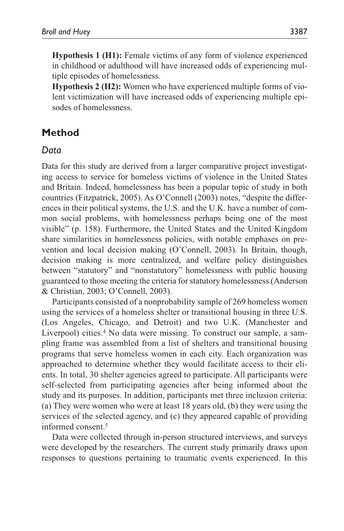**Hypothesis 1 (H1):** Female victims of any form of violence experienced in childhood or adulthood will have increased odds of experiencing multiple episodes of homelessness.

**Hypothesis 2 (H2):** Women who have experienced multiple forms of violent victimization will have increased odds of experiencing multiple episodes of homelessness.

# **Method**

#### *Data*

Data for this study are derived from a larger comparative project investigating access to service for homeless victims of violence in the United States and Britain. Indeed, homelessness has been a popular topic of study in both countries (Fitzpatrick, 2005). As O'Connell (2003) notes, "despite the differences in their political systems, the U.S. and the U.K. have a number of common social problems, with homelessness perhaps being one of the most visible" (p. 158). Furthermore, the United States and the United Kingdom share similarities in homelessness policies, with notable emphases on prevention and local decision making (O'Connell, 2003). In Britain, though, decision making is more centralized, and welfare policy distinguishes between "statutory" and "nonstatutory" homelessness with public housing guaranteed to those meeting the criteria for statutory homelessness (Anderson & Christian, 2003; O'Connell, 2003).

Participants consisted of a nonprobability sample of 269 homeless women using the services of a homeless shelter or transitional housing in three U.S. (Los Angeles, Chicago, and Detroit) and two U.K. (Manchester and Liverpool) cities.4 No data were missing. To construct our sample, a sampling frame was assembled from a list of shelters and transitional housing programs that serve homeless women in each city. Each organization was approached to determine whether they would facilitate access to their clients. In total, 30 shelter agencies agreed to participate. All participants were self-selected from participating agencies after being informed about the study and its purposes. In addition, participants met three inclusion criteria: (a) They were women who were at least 18 years old, (b) they were using the services of the selected agency, and (c) they appeared capable of providing informed consent.5

Data were collected through in-person structured interviews, and surveys were developed by the researchers. The current study primarily draws upon responses to questions pertaining to traumatic events experienced. In this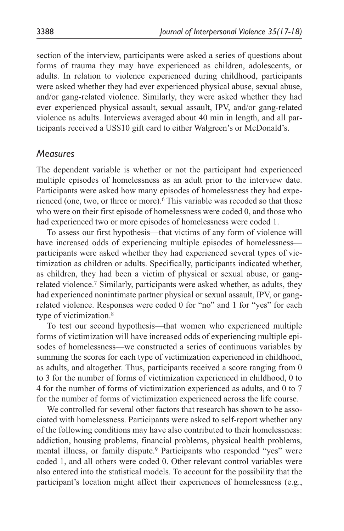section of the interview, participants were asked a series of questions about forms of trauma they may have experienced as children, adolescents, or adults. In relation to violence experienced during childhood, participants were asked whether they had ever experienced physical abuse, sexual abuse, and/or gang-related violence. Similarly, they were asked whether they had ever experienced physical assault, sexual assault, IPV, and/or gang-related violence as adults. Interviews averaged about 40 min in length, and all participants received a US\$10 gift card to either Walgreen's or McDonald's.

#### *Measures*

The dependent variable is whether or not the participant had experienced multiple episodes of homelessness as an adult prior to the interview date. Participants were asked how many episodes of homelessness they had experienced (one, two, or three or more).<sup>6</sup> This variable was recoded so that those who were on their first episode of homelessness were coded 0, and those who had experienced two or more episodes of homelessness were coded 1.

To assess our first hypothesis—that victims of any form of violence will have increased odds of experiencing multiple episodes of homelessness participants were asked whether they had experienced several types of victimization as children or adults. Specifically, participants indicated whether, as children, they had been a victim of physical or sexual abuse, or gangrelated violence.7 Similarly, participants were asked whether, as adults, they had experienced nonintimate partner physical or sexual assault, IPV, or gangrelated violence. Responses were coded 0 for "no" and 1 for "yes" for each type of victimization.8

To test our second hypothesis—that women who experienced multiple forms of victimization will have increased odds of experiencing multiple episodes of homelessness—we constructed a series of continuous variables by summing the scores for each type of victimization experienced in childhood, as adults, and altogether. Thus, participants received a score ranging from 0 to 3 for the number of forms of victimization experienced in childhood, 0 to 4 for the number of forms of victimization experienced as adults, and 0 to 7 for the number of forms of victimization experienced across the life course.

We controlled for several other factors that research has shown to be associated with homelessness. Participants were asked to self-report whether any of the following conditions may have also contributed to their homelessness: addiction, housing problems, financial problems, physical health problems, mental illness, or family dispute.<sup>9</sup> Participants who responded "yes" were coded 1, and all others were coded 0. Other relevant control variables were also entered into the statistical models. To account for the possibility that the participant's location might affect their experiences of homelessness (e.g.,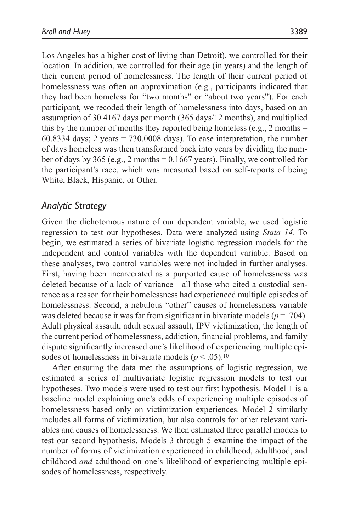Los Angeles has a higher cost of living than Detroit), we controlled for their location. In addition, we controlled for their age (in years) and the length of their current period of homelessness. The length of their current period of homelessness was often an approximation (e.g., participants indicated that they had been homeless for "two months" or "about two years"). For each participant, we recoded their length of homelessness into days, based on an assumption of 30.4167 days per month (365 days/12 months), and multiplied this by the number of months they reported being homeless (e.g., 2 months  $=$ 60.8334 days; 2 years  $= 730,0008$  days). To ease interpretation, the number of days homeless was then transformed back into years by dividing the number of days by 365 (e.g., 2 months =  $0.1667$  years). Finally, we controlled for the participant's race, which was measured based on self-reports of being White, Black, Hispanic, or Other.

#### *Analytic Strategy*

Given the dichotomous nature of our dependent variable, we used logistic regression to test our hypotheses. Data were analyzed using *Stata 14*. To begin, we estimated a series of bivariate logistic regression models for the independent and control variables with the dependent variable. Based on these analyses, two control variables were not included in further analyses. First, having been incarcerated as a purported cause of homelessness was deleted because of a lack of variance—all those who cited a custodial sentence as a reason for their homelessness had experienced multiple episodes of homelessness. Second, a nebulous "other" causes of homelessness variable was deleted because it was far from significant in bivariate models (*p* = .704). Adult physical assault, adult sexual assault, IPV victimization, the length of the current period of homelessness, addiction, financial problems, and family dispute significantly increased one's likelihood of experiencing multiple episodes of homelessness in bivariate models ( $p < .05$ ).<sup>10</sup>

After ensuring the data met the assumptions of logistic regression, we estimated a series of multivariate logistic regression models to test our hypotheses. Two models were used to test our first hypothesis. Model 1 is a baseline model explaining one's odds of experiencing multiple episodes of homelessness based only on victimization experiences. Model 2 similarly includes all forms of victimization, but also controls for other relevant variables and causes of homelessness. We then estimated three parallel models to test our second hypothesis. Models 3 through 5 examine the impact of the number of forms of victimization experienced in childhood, adulthood, and childhood *and* adulthood on one's likelihood of experiencing multiple episodes of homelessness, respectively.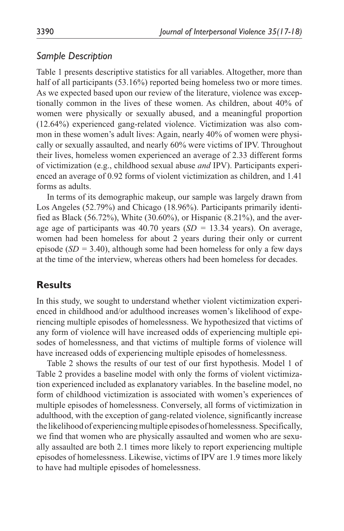### *Sample Description*

Table 1 presents descriptive statistics for all variables. Altogether, more than half of all participants (53.16%) reported being homeless two or more times. As we expected based upon our review of the literature, violence was exceptionally common in the lives of these women. As children, about 40% of women were physically or sexually abused, and a meaningful proportion (12.64%) experienced gang-related violence. Victimization was also common in these women's adult lives: Again, nearly 40% of women were physically or sexually assaulted, and nearly 60% were victims of IPV. Throughout their lives, homeless women experienced an average of 2.33 different forms of victimization (e.g., childhood sexual abuse *and* IPV). Participants experienced an average of 0.92 forms of violent victimization as children, and 1.41 forms as adults.

In terms of its demographic makeup, our sample was largely drawn from Los Angeles (52.79%) and Chicago (18.96%). Participants primarily identified as Black (56.72%), White (30.60%), or Hispanic (8.21%), and the average age of participants was 40.70 years (*SD =* 13.34 years). On average, women had been homeless for about 2 years during their only or current episode (*SD =* 3.40), although some had been homeless for only a few days at the time of the interview, whereas others had been homeless for decades.

# **Results**

In this study, we sought to understand whether violent victimization experienced in childhood and/or adulthood increases women's likelihood of experiencing multiple episodes of homelessness. We hypothesized that victims of any form of violence will have increased odds of experiencing multiple episodes of homelessness, and that victims of multiple forms of violence will have increased odds of experiencing multiple episodes of homelessness.

Table 2 shows the results of our test of our first hypothesis. Model 1 of Table 2 provides a baseline model with only the forms of violent victimization experienced included as explanatory variables. In the baseline model, no form of childhood victimization is associated with women's experiences of multiple episodes of homelessness. Conversely, all forms of victimization in adulthood, with the exception of gang-related violence, significantly increase the likelihood of experiencing multiple episodes of homelessness. Specifically, we find that women who are physically assaulted and women who are sexually assaulted are both 2.1 times more likely to report experiencing multiple episodes of homelessness. Likewise, victims of IPV are 1.9 times more likely to have had multiple episodes of homelessness.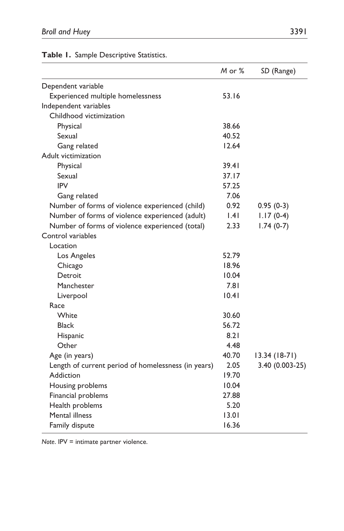|                                                     | M or % | SD (Range)      |
|-----------------------------------------------------|--------|-----------------|
| Dependent variable                                  |        |                 |
| Experienced multiple homelessness                   | 53.16  |                 |
| Independent variables                               |        |                 |
| Childhood victimization                             |        |                 |
| Physical                                            | 38.66  |                 |
| Sexual                                              | 40.52  |                 |
| Gang related                                        | 12.64  |                 |
| Adult victimization                                 |        |                 |
| Physical                                            | 39.41  |                 |
| Sexual                                              | 37.17  |                 |
| <b>IPV</b>                                          | 57.25  |                 |
| Gang related                                        | 7.06   |                 |
| Number of forms of violence experienced (child)     | 0.92   | $0.95(0-3)$     |
| Number of forms of violence experienced (adult)     | .4     | $1.17(0-4)$     |
| Number of forms of violence experienced (total)     | 2.33   | $1.74(0-7)$     |
| Control variables                                   |        |                 |
| Location                                            |        |                 |
| Los Angeles                                         | 52.79  |                 |
| Chicago                                             | 18.96  |                 |
| Detroit                                             | 10.04  |                 |
| Manchester                                          | 7.81   |                 |
| Liverpool                                           | 10.41  |                 |
| Race                                                |        |                 |
| White                                               | 30.60  |                 |
| <b>Black</b>                                        | 56.72  |                 |
| Hispanic                                            | 8.21   |                 |
| Other                                               | 4.48   |                 |
| Age (in years)                                      | 40.70  | $13.34(18-71)$  |
| Length of current period of homelessness (in years) | 2.05   | 3.40 (0.003-25) |
| Addiction                                           | 19.70  |                 |
| Housing problems                                    | 10.04  |                 |
| Financial problems                                  | 27.88  |                 |
| Health problems                                     | 5.20   |                 |
| Mental illness                                      | 13.01  |                 |
| Family dispute                                      | 16.36  |                 |

**Table 1.** Sample Descriptive Statistics.

*Note*. IPV = intimate partner violence.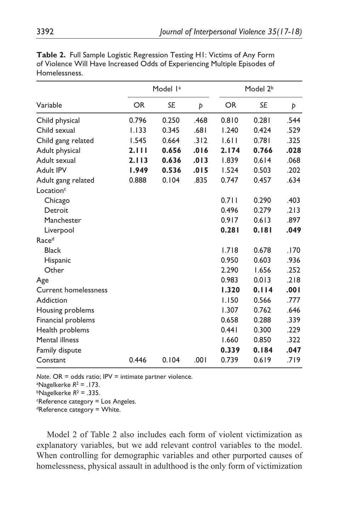|                             |       | Model l <sup>a</sup> |      |           | Model 2 <sup>b</sup> |      |
|-----------------------------|-------|----------------------|------|-----------|----------------------|------|
| Variable                    | OR    | <b>SE</b>            | Þ    | <b>OR</b> | <b>SE</b>            | Þ    |
| Child physical              | 0.796 | 0.250                | .468 | 0.810     | 0.281                | .544 |
| Child sexual                | 1.133 | 0.345                | .681 | 1.240     | 0.424                | .529 |
| Child gang related          | 1.545 | 0.664                | .312 | 1.611     | 0.781                | .325 |
| Adult physical              | 2.111 | 0.656                | .016 | 2.174     | 0.766                | .028 |
| Adult sexual                | 2.113 | 0.636                | .013 | 1.839     | 0.614                | .068 |
| Adult IPV                   | 1.949 | 0.536                | .015 | 1.524     | 0.503                | .202 |
| Adult gang related          | 0.888 | 0.104                | .835 | 0.747     | 0.457                | .634 |
| Location <sup>c</sup>       |       |                      |      |           |                      |      |
| Chicago                     |       |                      |      | 0.711     | 0.290                | .403 |
| Detroit                     |       |                      |      | 0.496     | 0.279                | .213 |
| Manchester                  |       |                      |      | 0.917     | 0.613                | .897 |
| Liverpool                   |       |                      |      | 0.281     | 0.181                | .049 |
| Race <sup>d</sup>           |       |                      |      |           |                      |      |
| <b>Black</b>                |       |                      |      | 1.718     | 0.678                | .170 |
| Hispanic                    |       |                      |      | 0.950     | 0.603                | .936 |
| Other                       |       |                      |      | 2.290     | 1.656                | .252 |
| Age                         |       |                      |      | 0.983     | 0.013                | .218 |
| <b>Current homelessness</b> |       |                      |      | 1.320     | 0.114                | .001 |
| Addiction                   |       |                      |      | 1.150     | 0.566                | .777 |
| Housing problems            |       |                      |      | 1.307     | 0.762                | .646 |
| Financial problems          |       |                      |      | 0.658     | 0.288                | .339 |
| Health problems             |       |                      |      | 0.441     | 0.300                | .229 |
| Mental illness              |       |                      |      | 1.660     | 0.850                | .322 |
| Family dispute              |       |                      |      | 0.339     | 0.184                | .047 |
| Constant                    | 0.446 | 0.104                | .001 | 0.739     | 0.619                | .719 |

**Table 2.** Full Sample Logistic Regression Testing H1: Victims of Any Form of Violence Will Have Increased Odds of Experiencing Multiple Episodes of Homelessness.

*Note*. OR = odds ratio; IPV = intimate partner violence.

a Nagelkerke *R*2 = .173.

 $b$ Nagelkerke  $R^2 = .335$ .

cReference category = Los Angeles.

dReference category = White.

Model 2 of Table 2 also includes each form of violent victimization as explanatory variables, but we add relevant control variables to the model. When controlling for demographic variables and other purported causes of homelessness, physical assault in adulthood is the only form of victimization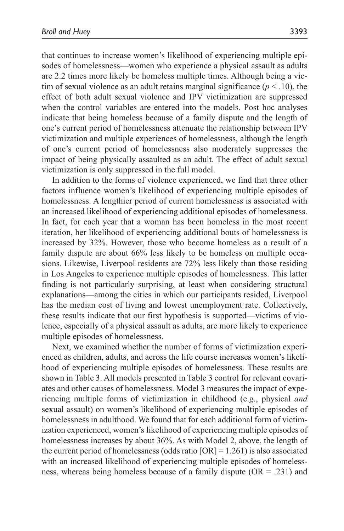that continues to increase women's likelihood of experiencing multiple episodes of homelessness—women who experience a physical assault as adults are 2.2 times more likely be homeless multiple times. Although being a victim of sexual violence as an adult retains marginal significance  $(p < .10)$ , the effect of both adult sexual violence and IPV victimization are suppressed when the control variables are entered into the models. Post hoc analyses indicate that being homeless because of a family dispute and the length of one's current period of homelessness attenuate the relationship between IPV victimization and multiple experiences of homelessness, although the length of one's current period of homelessness also moderately suppresses the impact of being physically assaulted as an adult. The effect of adult sexual victimization is only suppressed in the full model.

In addition to the forms of violence experienced, we find that three other factors influence women's likelihood of experiencing multiple episodes of homelessness. A lengthier period of current homelessness is associated with an increased likelihood of experiencing additional episodes of homelessness. In fact, for each year that a woman has been homeless in the most recent iteration, her likelihood of experiencing additional bouts of homelessness is increased by 32%. However, those who become homeless as a result of a family dispute are about 66% less likely to be homeless on multiple occasions. Likewise, Liverpool residents are 72% less likely than those residing in Los Angeles to experience multiple episodes of homelessness. This latter finding is not particularly surprising, at least when considering structural explanations—among the cities in which our participants resided, Liverpool has the median cost of living and lowest unemployment rate. Collectively, these results indicate that our first hypothesis is supported—victims of violence, especially of a physical assault as adults, are more likely to experience multiple episodes of homelessness.

Next, we examined whether the number of forms of victimization experienced as children, adults, and across the life course increases women's likelihood of experiencing multiple episodes of homelessness. These results are shown in Table 3. All models presented in Table 3 control for relevant covariates and other causes of homelessness. Model 3 measures the impact of experiencing multiple forms of victimization in childhood (e.g., physical *and* sexual assault) on women's likelihood of experiencing multiple episodes of homelessness in adulthood. We found that for each additional form of victimization experienced, women's likelihood of experiencing multiple episodes of homelessness increases by about 36%. As with Model 2, above, the length of the current period of homelessness (odds ratio  $[OR] = 1.261$ ) is also associated with an increased likelihood of experiencing multiple episodes of homelessness, whereas being homeless because of a family dispute  $(OR = .231)$  and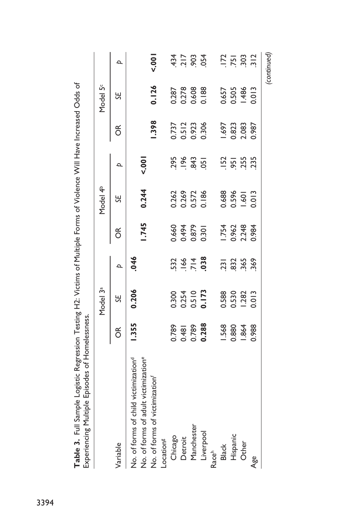| Table 3. Full Sample Logistic Regression Testing H2: Victims of Multiple Forms of Violence Will Have Increased Odds of<br>Experiencing Multiple Episodes of Homelessness. |       |                      |                         |       |                      |                     |                         |                      |                                 |
|---------------------------------------------------------------------------------------------------------------------------------------------------------------------------|-------|----------------------|-------------------------|-------|----------------------|---------------------|-------------------------|----------------------|---------------------------------|
|                                                                                                                                                                           |       | Model 3 <sup>ª</sup> |                         |       | Model 4 <sup>b</sup> |                     |                         | Model 5 <sup>c</sup> |                                 |
| Variable                                                                                                                                                                  | ő     | SE,                  | م                       | õ     | SE,                  | Þ                   | ర్                      | 닍                    | Þ                               |
| No. of forms of adult victimization <sup>e</sup><br>No. of forms of child victimization <sup>d</sup>                                                                      | 1.355 | 0.206                | 046                     | 1.745 | 0.244                | $500 - 700$         |                         |                      |                                 |
| No. of forms of victimization <sup>f</sup>                                                                                                                                |       |                      |                         |       |                      |                     | 1.398                   | 0.126                | 5001                            |
| Location <sup>g</sup>                                                                                                                                                     |       |                      |                         |       |                      |                     |                         |                      |                                 |
| Chicago                                                                                                                                                                   | 0.789 | 0.300                |                         | 0.660 | 0.262                |                     |                         | 0.287                |                                 |
| Detroit                                                                                                                                                                   | 0.481 | 0.254                | $532$<br>$166$<br>$714$ | 0.494 | 0.269                | 295<br>1963<br>2013 | 0.737<br>0.512<br>0.923 | 0.278                | $434$<br>$715$<br>$934$<br>$54$ |
| Manchester                                                                                                                                                                | 0.789 | 0.510                |                         | 0.879 | 0.572                |                     |                         | 0.608                |                                 |
| Liverpool                                                                                                                                                                 | 0.288 | 0.173                | .038                    | 0.301 | 0.186                | $\overline{5}$      | 0.306                   | 0.188                |                                 |
| Raceh                                                                                                                                                                     |       |                      |                         |       |                      |                     |                         |                      |                                 |
| <b>Black</b>                                                                                                                                                              | 1.568 | 0.588                | .231                    | 1.754 | 0.688                |                     | 1.697                   | 0.657                | 172                             |
| Hispanic                                                                                                                                                                  | 0.880 | 0.530                | 832                     | 0.962 | 0.596                | $\frac{152}{51}$    | 0.823                   | 0.505                | .751                            |
| Other                                                                                                                                                                     | 1.864 | 1.282                | 365                     | 2.248 | $-60$                | 255<br>235          | 2.083                   | 1.486                | $303$<br>$312$                  |
| $\mathbf{A}^{\mathbf{e}}_{\mathbf{S}}$                                                                                                                                    | 0.988 | 0.013                | 369                     | 0.984 | 0.013                |                     | 0.987                   | 0.013                |                                 |
|                                                                                                                                                                           |       |                      |                         |       |                      |                     |                         |                      | (continued)                     |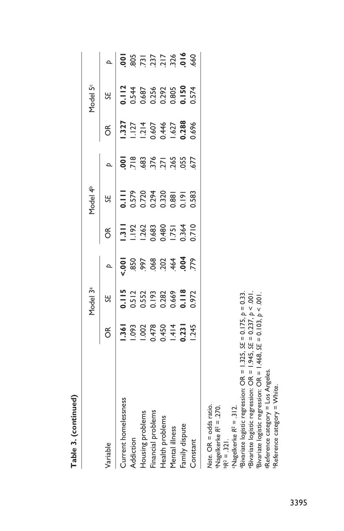|                                                                                                                                                                                                                                                                                                                                                                                                                          |        | Model 3ª |                |               | Model 4 <sup>b</sup>     |               |                    | Model 5 <sup>c</sup>    |                           |
|--------------------------------------------------------------------------------------------------------------------------------------------------------------------------------------------------------------------------------------------------------------------------------------------------------------------------------------------------------------------------------------------------------------------------|--------|----------|----------------|---------------|--------------------------|---------------|--------------------|-------------------------|---------------------------|
| Variable                                                                                                                                                                                                                                                                                                                                                                                                                 | ర్     | SE       | Þ              | õ             | 5F                       | Þ             | ర                  | SE                      | $\overline{a}$            |
| Current homelessness                                                                                                                                                                                                                                                                                                                                                                                                     | $-361$ | 0.115    | $\frac{1}{2}$  | $\frac{1}{2}$ | $\frac{1}{\overline{a}}$ | <u> 0</u>     | .327               | 3.112                   | <u>  0</u>                |
| Addiction                                                                                                                                                                                                                                                                                                                                                                                                                | 1.093  | 0.512    | .850           | $-192$        | 0.579                    | $\frac{8}{7}$ | 127                | 0.544<br>0.687<br>0.256 | 805<br>737<br>737<br>7326 |
| Housing problems                                                                                                                                                                                                                                                                                                                                                                                                         | 1.002  | 0.552    | .997           | 1.262         | 0.720                    | 683           | $1.214$<br>$0.607$ |                         |                           |
| Financial problems                                                                                                                                                                                                                                                                                                                                                                                                       | 0.478  | 0.193    | 068            | 0.683         | 0.294                    | 376           |                    |                         |                           |
| Health problems                                                                                                                                                                                                                                                                                                                                                                                                          | 0.450  | 0.282    | 202            | 0.480         | 0.320                    | 271           | 0.446              |                         |                           |
| Mental illness                                                                                                                                                                                                                                                                                                                                                                                                           | $-414$ | 0.669    | .464           | 1.751         | 0.881                    |               | .627               | 0.292<br>0.805<br>1.150 |                           |
| Family dispute                                                                                                                                                                                                                                                                                                                                                                                                           | 0.231  | 0.118    | $\overline{6}$ | 0.364         | 2.191                    | 055           | 0.288              |                         | 016                       |
| Constant                                                                                                                                                                                                                                                                                                                                                                                                                 | 1.245  | 0.972    | 779            | 0.710         | 0.583                    | 677           | 0.696              | 0.574                   | 660                       |
| Bivariate logistic regression: OR = 1.325, SE = 0.175, $p = 0.33$ .<br>eBivariate logistic regression: OR = $1.945$ , SE = 0.237, $p < .001$<br>Bivariate logistic regression: OR = $1.468$ , SE = 0.103, $p < 0.01$<br><b>EReference category = Los Angeles</b><br>"Reference category = White.<br>Note. OR = odds ratio.<br>$a$ Nagelkerke R $a = 270$ .<br>$\cdot$ Nagelkerke R <sup>2</sup> = .312.<br>$BR^2 = .321$ |        |          |                |               |                          |               |                    |                         |                           |

Table 3. (continued) **Table 3. (continued)**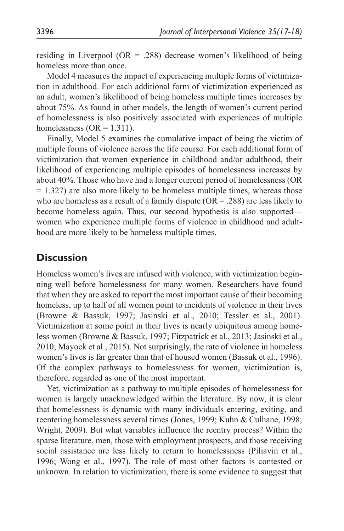residing in Liverpool ( $OR = .288$ ) decrease women's likelihood of being homeless more than once.

Model 4 measures the impact of experiencing multiple forms of victimization in adulthood. For each additional form of victimization experienced as an adult, women's likelihood of being homeless multiple times increases by about 75%. As found in other models, the length of women's current period of homelessness is also positively associated with experiences of multiple homelessness ( $OR = 1.311$ ).

Finally, Model 5 examines the cumulative impact of being the victim of multiple forms of violence across the life course. For each additional form of victimization that women experience in childhood and/or adulthood, their likelihood of experiencing multiple episodes of homelessness increases by about 40%. Those who have had a longer current period of homelessness (OR  $= 1.327$ ) are also more likely to be homeless multiple times, whereas those who are homeless as a result of a family dispute  $(OR = .288)$  are less likely to become homeless again. Thus, our second hypothesis is also supported women who experience multiple forms of violence in childhood and adulthood are more likely to be homeless multiple times.

# **Discussion**

Homeless women's lives are infused with violence, with victimization beginning well before homelessness for many women. Researchers have found that when they are asked to report the most important cause of their becoming homeless, up to half of all women point to incidents of violence in their lives (Browne & Bassuk, 1997; Jasinski et al., 2010; Tessler et al., 2001). Victimization at some point in their lives is nearly ubiquitous among homeless women (Browne & Bassuk, 1997; Fitzpatrick et al., 2013; Jasinski et al., 2010; Mayock et al., 2015). Not surprisingly, the rate of violence in homeless women's lives is far greater than that of housed women (Bassuk et al., 1996). Of the complex pathways to homelessness for women, victimization is, therefore, regarded as one of the most important.

Yet, victimization as a pathway to multiple episodes of homelessness for women is largely unacknowledged within the literature. By now, it is clear that homelessness is dynamic with many individuals entering, exiting, and reentering homelessness several times (Jones, 1999; Kuhn & Culhane, 1998; Wright, 2009). But what variables influence the reentry process? Within the sparse literature, men, those with employment prospects, and those receiving social assistance are less likely to return to homelessness (Piliavin et al., 1996; Wong et al., 1997). The role of most other factors is contested or unknown. In relation to victimization, there is some evidence to suggest that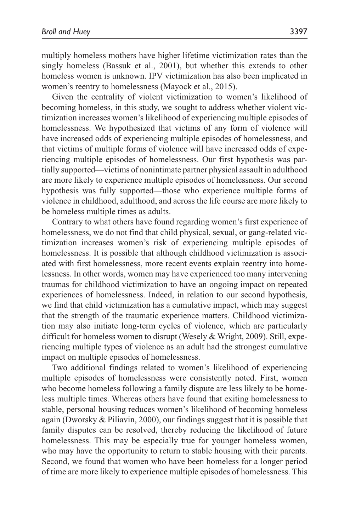multiply homeless mothers have higher lifetime victimization rates than the singly homeless (Bassuk et al., 2001), but whether this extends to other homeless women is unknown. IPV victimization has also been implicated in women's reentry to homelessness (Mayock et al., 2015).

Given the centrality of violent victimization to women's likelihood of becoming homeless, in this study, we sought to address whether violent victimization increases women's likelihood of experiencing multiple episodes of homelessness. We hypothesized that victims of any form of violence will have increased odds of experiencing multiple episodes of homelessness, and that victims of multiple forms of violence will have increased odds of experiencing multiple episodes of homelessness. Our first hypothesis was partially supported—victims of nonintimate partner physical assault in adulthood are more likely to experience multiple episodes of homelessness. Our second hypothesis was fully supported—those who experience multiple forms of violence in childhood, adulthood, and across the life course are more likely to be homeless multiple times as adults.

Contrary to what others have found regarding women's first experience of homelessness, we do not find that child physical, sexual, or gang-related victimization increases women's risk of experiencing multiple episodes of homelessness. It is possible that although childhood victimization is associated with first homelessness, more recent events explain reentry into homelessness. In other words, women may have experienced too many intervening traumas for childhood victimization to have an ongoing impact on repeated experiences of homelessness. Indeed, in relation to our second hypothesis, we find that child victimization has a cumulative impact, which may suggest that the strength of the traumatic experience matters. Childhood victimization may also initiate long-term cycles of violence, which are particularly difficult for homeless women to disrupt (Wesely & Wright, 2009). Still, experiencing multiple types of violence as an adult had the strongest cumulative impact on multiple episodes of homelessness.

Two additional findings related to women's likelihood of experiencing multiple episodes of homelessness were consistently noted. First, women who become homeless following a family dispute are less likely to be homeless multiple times. Whereas others have found that exiting homelessness to stable, personal housing reduces women's likelihood of becoming homeless again (Dworsky & Piliavin, 2000), our findings suggest that it is possible that family disputes can be resolved, thereby reducing the likelihood of future homelessness. This may be especially true for younger homeless women, who may have the opportunity to return to stable housing with their parents. Second, we found that women who have been homeless for a longer period of time are more likely to experience multiple episodes of homelessness. This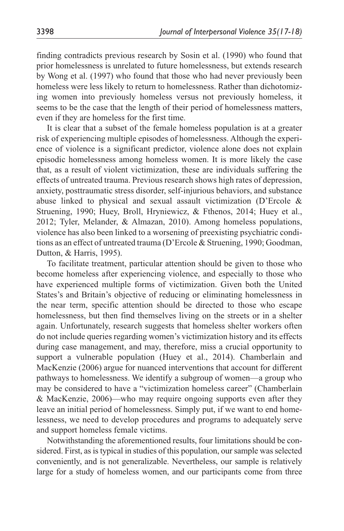finding contradicts previous research by Sosin et al. (1990) who found that prior homelessness is unrelated to future homelessness, but extends research by Wong et al. (1997) who found that those who had never previously been homeless were less likely to return to homelessness. Rather than dichotomizing women into previously homeless versus not previously homeless, it seems to be the case that the length of their period of homelessness matters, even if they are homeless for the first time.

It is clear that a subset of the female homeless population is at a greater risk of experiencing multiple episodes of homelessness. Although the experience of violence is a significant predictor, violence alone does not explain episodic homelessness among homeless women. It is more likely the case that, as a result of violent victimization, these are individuals suffering the effects of untreated trauma. Previous research shows high rates of depression, anxiety, posttraumatic stress disorder, self-injurious behaviors, and substance abuse linked to physical and sexual assault victimization (D'Ercole & Struening, 1990; Huey, Broll, Hryniewicz, & Fthenos, 2014; Huey et al., 2012; Tyler, Melander, & Almazan, 2010). Among homeless populations, violence has also been linked to a worsening of preexisting psychiatric conditions as an effect of untreated trauma (D'Ercole & Struening, 1990; Goodman, Dutton, & Harris, 1995).

To facilitate treatment, particular attention should be given to those who become homeless after experiencing violence, and especially to those who have experienced multiple forms of victimization. Given both the United States's and Britain's objective of reducing or eliminating homelessness in the near term, specific attention should be directed to those who escape homelessness, but then find themselves living on the streets or in a shelter again. Unfortunately, research suggests that homeless shelter workers often do not include queries regarding women's victimization history and its effects during case management, and may, therefore, miss a crucial opportunity to support a vulnerable population (Huey et al., 2014). Chamberlain and MacKenzie (2006) argue for nuanced interventions that account for different pathways to homelessness. We identify a subgroup of women—a group who may be considered to have a "victimization homeless career" (Chamberlain & MacKenzie, 2006)—who may require ongoing supports even after they leave an initial period of homelessness. Simply put, if we want to end homelessness, we need to develop procedures and programs to adequately serve and support homeless female victims.

Notwithstanding the aforementioned results, four limitations should be considered. First, as is typical in studies of this population, our sample was selected conveniently, and is not generalizable. Nevertheless, our sample is relatively large for a study of homeless women, and our participants come from three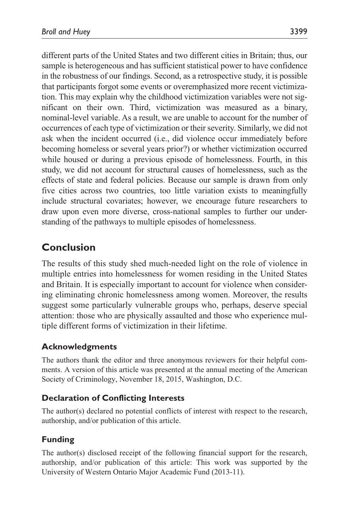different parts of the United States and two different cities in Britain; thus, our sample is heterogeneous and has sufficient statistical power to have confidence in the robustness of our findings. Second, as a retrospective study, it is possible that participants forgot some events or overemphasized more recent victimization. This may explain why the childhood victimization variables were not significant on their own. Third, victimization was measured as a binary, nominal-level variable. As a result, we are unable to account for the number of occurrences of each type of victimization or their severity. Similarly, we did not ask when the incident occurred (i.e., did violence occur immediately before becoming homeless or several years prior?) or whether victimization occurred while housed or during a previous episode of homelessness. Fourth, in this study, we did not account for structural causes of homelessness, such as the effects of state and federal policies. Because our sample is drawn from only five cities across two countries, too little variation exists to meaningfully include structural covariates; however, we encourage future researchers to draw upon even more diverse, cross-national samples to further our understanding of the pathways to multiple episodes of homelessness.

# **Conclusion**

The results of this study shed much-needed light on the role of violence in multiple entries into homelessness for women residing in the United States and Britain. It is especially important to account for violence when considering eliminating chronic homelessness among women. Moreover, the results suggest some particularly vulnerable groups who, perhaps, deserve special attention: those who are physically assaulted and those who experience multiple different forms of victimization in their lifetime.

### **Acknowledgments**

The authors thank the editor and three anonymous reviewers for their helpful comments. A version of this article was presented at the annual meeting of the American Society of Criminology, November 18, 2015, Washington, D.C.

### **Declaration of Conflicting Interests**

The author(s) declared no potential conflicts of interest with respect to the research, authorship, and/or publication of this article.

# **Funding**

The author(s) disclosed receipt of the following financial support for the research, authorship, and/or publication of this article: This work was supported by the University of Western Ontario Major Academic Fund (2013-11).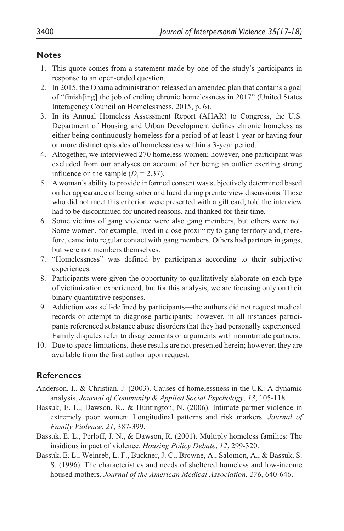#### **Notes**

- 1. This quote comes from a statement made by one of the study's participants in response to an open-ended question.
- 2. In 2015, the Obama administration released an amended plan that contains a goal of "finish[ing] the job of ending chronic homelessness in 2017" (United States Interagency Council on Homelessness, 2015, p. 6).
- 3. In its Annual Homeless Assessment Report (AHAR) to Congress, the U.S. Department of Housing and Urban Development defines chronic homeless as either being continuously homeless for a period of at least 1 year or having four or more distinct episodes of homelessness within a 3-year period.
- 4. Altogether, we interviewed 270 homeless women; however, one participant was excluded from our analyses on account of her being an outlier exerting strong influence on the sample  $(D<sub>i</sub> = 2.37)$ .
- 5. A woman's ability to provide informed consent was subjectively determined based on her appearance of being sober and lucid during preinterview discussions. Those who did not meet this criterion were presented with a gift card, told the interview had to be discontinued for uncited reasons, and thanked for their time.
- 6. Some victims of gang violence were also gang members, but others were not. Some women, for example, lived in close proximity to gang territory and, therefore, came into regular contact with gang members. Others had partners in gangs, but were not members themselves.
- 7. "Homelessness" was defined by participants according to their subjective experiences.
- 8. Participants were given the opportunity to qualitatively elaborate on each type of victimization experienced, but for this analysis, we are focusing only on their binary quantitative responses.
- 9. Addiction was self-defined by participants—the authors did not request medical records or attempt to diagnose participants; however, in all instances participants referenced substance abuse disorders that they had personally experienced. Family disputes refer to disagreements or arguments with nonintimate partners.
- 10. Due to space limitations, these results are not presented herein; however, they are available from the first author upon request.

### **References**

- Anderson, I., & Christian, J. (2003). Causes of homelessness in the UK: A dynamic analysis. *Journal of Community & Applied Social Psychology*, *13*, 105-118.
- Bassuk, E. L., Dawson, R., & Huntington, N. (2006). Intimate partner violence in extremely poor women: Longitudinal patterns and risk markers. *Journal of Family Violence*, *21*, 387-399.
- Bassuk, E. L., Perloff, J. N., & Dawson, R. (2001). Multiply homeless families: The insidious impact of violence. *Housing Policy Debate*, *12*, 299-320.
- Bassuk, E. L., Weinreb, L. F., Buckner, J. C., Browne, A., Salomon, A., & Bassuk, S. S. (1996). The characteristics and needs of sheltered homeless and low-income housed mothers. *Journal of the American Medical Association*, *276*, 640-646.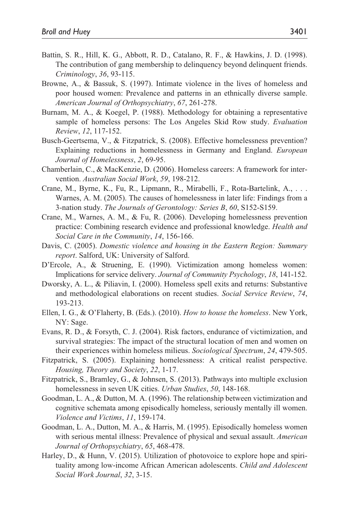- Battin, S. R., Hill, K. G., Abbott, R. D., Catalano, R. F., & Hawkins, J. D. (1998). The contribution of gang membership to delinquency beyond delinquent friends. *Criminology*, *36*, 93-115.
- Browne, A., & Bassuk, S. (1997). Intimate violence in the lives of homeless and poor housed women: Prevalence and patterns in an ethnically diverse sample. *American Journal of Orthopsychiatry*, *67*, 261-278.
- Burnam, M. A., & Koegel, P. (1988). Methodology for obtaining a representative sample of homeless persons: The Los Angeles Skid Row study. *Evaluation Review*, *12*, 117-152.
- Busch-Geertsema, V., & Fitzpatrick, S. (2008). Effective homelessness prevention? Explaining reductions in homelessness in Germany and England. *European Journal of Homelessness*, *2*, 69-95.
- Chamberlain, C., & MacKenzie, D. (2006). Homeless careers: A framework for intervention. *Australian Social Work*, *59*, 198-212.
- Crane, M., Byrne, K., Fu, R., Lipmann, R., Mirabelli, F., Rota-Bartelink, A., . . . Warnes, A. M. (2005). The causes of homelessness in later life: Findings from a 3-nation study. *The Journals of Gerontology: Series B*, *60*, S152-S159.
- Crane, M., Warnes, A. M., & Fu, R. (2006). Developing homelessness prevention practice: Combining research evidence and professional knowledge. *Health and Social Care in the Community*, *14*, 156-166.
- Davis, C. (2005). *Domestic violence and housing in the Eastern Region: Summary report*. Salford, UK: University of Salford.
- D'Ercole, A., & Struening, E. (1990). Victimization among homeless women: Implications for service delivery. *Journal of Community Psychology*, *18*, 141-152.
- Dworsky, A. L., & Piliavin, I. (2000). Homeless spell exits and returns: Substantive and methodological elaborations on recent studies. *Social Service Review*, *74*, 193-213.
- Ellen, I. G., & O'Flaherty, B. (Eds.). (2010). *How to house the homeless*. New York, NY: Sage.
- Evans, R. D., & Forsyth, C. J. (2004). Risk factors, endurance of victimization, and survival strategies: The impact of the structural location of men and women on their experiences within homeless milieus. *Sociological Spectrum*, *24*, 479-505.
- Fitzpatrick, S. (2005). Explaining homelessness: A critical realist perspective. *Housing, Theory and Society*, *22*, 1-17.
- Fitzpatrick, S., Bramley, G., & Johnsen, S. (2013). Pathways into multiple exclusion homelessness in seven UK cities. *Urban Studies*, *50*, 148-168.
- Goodman, L. A., & Dutton, M. A. (1996). The relationship between victimization and cognitive schemata among episodically homeless, seriously mentally ill women. *Violence and Victims*, *11*, 159-174.
- Goodman, L. A., Dutton, M. A., & Harris, M. (1995). Episodically homeless women with serious mental illness: Prevalence of physical and sexual assault. *American Journal of Orthopsychiatry*, *65*, 468-478.
- Harley, D., & Hunn, V. (2015). Utilization of photovoice to explore hope and spirituality among low-income African American adolescents. *Child and Adolescent Social Work Journal*, *32*, 3-15.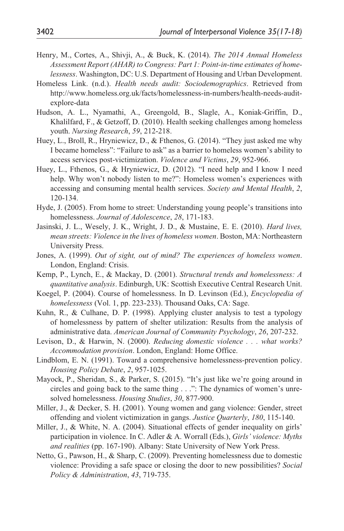- Henry, M., Cortes, A., Shivji, A., & Buck, K. (2014). *The 2014 Annual Homeless Assessment Report (AHAR) to Congress: Part 1: Point-in-time estimates of homelessness*. Washington, DC: U.S. Department of Housing and Urban Development.
- Homeless Link. (n.d.). *Health needs audit: Sociodemographics*. Retrieved from [http://www.homeless.org.uk/facts/homelessness-in-numbers/health-needs-audit](http://www.homeless.org.uk/facts/homelessness-in-numbers/health-needs-audit-explore-data)[explore-data](http://www.homeless.org.uk/facts/homelessness-in-numbers/health-needs-audit-explore-data)
- Hudson, A. L., Nyamathi, A., Greengold, B., Slagle, A., Koniak-Griffin, D., Khalilfard, F., & Getzoff, D. (2010). Health seeking challenges among homeless youth. *Nursing Research*, *59*, 212-218.
- Huey, L., Broll, R., Hryniewicz, D., & Fthenos, G. (2014). "They just asked me why I became homeless": "Failure to ask" as a barrier to homeless women's ability to access services post-victimization. *Violence and Victims*, *29*, 952-966.
- Huey, L., Fthenos, G., & Hryniewicz, D. (2012). "I need help and I know I need help. Why won't nobody listen to me?": Homeless women's experiences with accessing and consuming mental health services. *Society and Mental Health*, *2*, 120-134.
- Hyde, J. (2005). From home to street: Understanding young people's transitions into homelessness. *Journal of Adolescence*, *28*, 171-183.
- Jasinski, J. L., Wesely, J. K., Wright, J. D., & Mustaine, E. E. (2010). *Hard lives, mean streets: Violence in the lives of homeless women*. Boston, MA: Northeastern University Press.
- Jones, A. (1999). *Out of sight, out of mind? The experiences of homeless women*. London, England: Crisis.
- Kemp, P., Lynch, E., & Mackay, D. (2001). *Structural trends and homelessness: A quantitative analysis*. Edinburgh, UK: Scottish Executive Central Research Unit.
- Koegel, P. (2004). Course of homelessness. In D. Levinson (Ed.), *Encyclopedia of homelessness* (Vol. 1, pp. 223-233). Thousand Oaks, CA: Sage.
- Kuhn, R., & Culhane, D. P. (1998). Applying cluster analysis to test a typology of homelessness by pattern of shelter utilization: Results from the analysis of administrative data. *American Journal of Community Psychology*, *26*, 207-232.
- Levison, D., & Harwin, N. (2000). *Reducing domestic violence . . . what works? Accommodation provision*. London, England: Home Office.
- Lindblom, E. N. (1991). Toward a comprehensive homelessness-prevention policy. *Housing Policy Debate*, *2*, 957-1025.
- Mayock, P., Sheridan, S., & Parker, S. (2015). "It's just like we're going around in circles and going back to the same thing . . .": The dynamics of women's unresolved homelessness. *Housing Studies*, *30*, 877-900.
- Miller, J., & Decker, S. H. (2001). Young women and gang violence: Gender, street offending and violent victimization in gangs. *Justice Quarterly*, *180*, 115-140.
- Miller, J., & White, N. A. (2004). Situational effects of gender inequality on girls' participation in violence. In C. Adler & A. Worrall (Eds.), *Girls' violence: Myths and realities* (pp. 167-190). Albany: State University of New York Press.
- Netto, G., Pawson, H., & Sharp, C. (2009). Preventing homelessness due to domestic violence: Providing a safe space or closing the door to new possibilities? *Social Policy & Administration*, *43*, 719-735.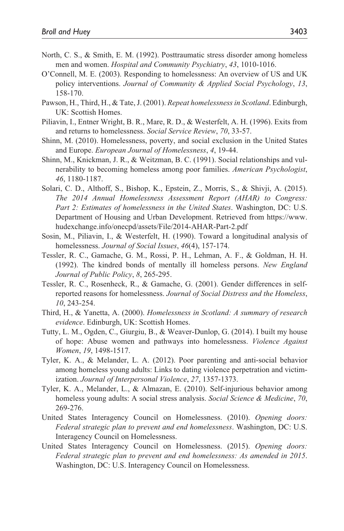- North, C. S., & Smith, E. M. (1992). Posttraumatic stress disorder among homeless men and women. *Hospital and Community Psychiatry*, *43*, 1010-1016.
- O'Connell, M. E. (2003). Responding to homelessness: An overview of US and UK policy interventions. *Journal of Community & Applied Social Psychology*, *13*, 158-170.
- Pawson, H., Third, H., & Tate, J. (2001). *Repeat homelessness in Scotland*. Edinburgh, UK: Scottish Homes.
- Piliavin, I., Entner Wright, B. R., Mare, R. D., & Westerfelt, A. H. (1996). Exits from and returns to homelessness. *Social Service Review*, *70*, 33-57.
- Shinn, M. (2010). Homelessness, poverty, and social exclusion in the United States and Europe. *European Journal of Homelessness*, *4*, 19-44.
- Shinn, M., Knickman, J. R., & Weitzman, B. C. (1991). Social relationships and vulnerability to becoming homeless among poor families. *American Psychologist*, *46*, 1180-1187.
- Solari, C. D., Althoff, S., Bishop, K., Epstein, Z., Morris, S., & Shivji, A. (2015). *The 2014 Annual Homelessness Assessment Report (AHAR) to Congress: Part 2: Estimates of homelessness in the United States*. Washington, DC: U.S. Department of Housing and Urban Development. Retrieved from [https://www.](https://www.hudexchange.info/onecpd/assets/File/2014-AHAR-Part-2.pdf) [hudexchange.info/onecpd/assets/File/2014-AHAR-Part-2.pdf](https://www.hudexchange.info/onecpd/assets/File/2014-AHAR-Part-2.pdf)
- Sosin, M., Piliavin, I., & Westerfelt, H. (1990). Toward a longitudinal analysis of homelessness. *Journal of Social Issues*, *46*(4), 157-174.
- Tessler, R. C., Gamache, G. M., Rossi, P. H., Lehman, A. F., & Goldman, H. H. (1992). The kindred bonds of mentally ill homeless persons. *New England Journal of Public Policy*, *8*, 265-295.
- Tessler, R. C., Rosenheck, R., & Gamache, G. (2001). Gender differences in selfreported reasons for homelessness. *Journal of Social Distress and the Homeless*, *10*, 243-254.
- Third, H., & Yanetta, A. (2000). *Homelessness in Scotland: A summary of research evidence*. Edinburgh, UK: Scottish Homes.
- Tutty, L. M., Ogden, C., Giurgiu, B., & Weaver-Dunlop, G. (2014). I built my house of hope: Abuse women and pathways into homelessness. *Violence Against Women*, *19*, 1498-1517.
- Tyler, K. A., & Melander, L. A. (2012). Poor parenting and anti-social behavior among homeless young adults: Links to dating violence perpetration and victimization. *Journal of Interpersonal Violence*, *27*, 1357-1373.
- Tyler, K. A., Melander, L., & Almazan, E. (2010). Self-injurious behavior among homeless young adults: A social stress analysis. *Social Science & Medicine*, *70*, 269-276.
- United States Interagency Council on Homelessness. (2010). *Opening doors: Federal strategic plan to prevent and end homelessness*. Washington, DC: U.S. Interagency Council on Homelessness.
- United States Interagency Council on Homelessness. (2015). *Opening doors: Federal strategic plan to prevent and end homelessness: As amended in 2015*. Washington, DC: U.S. Interagency Council on Homelessness.